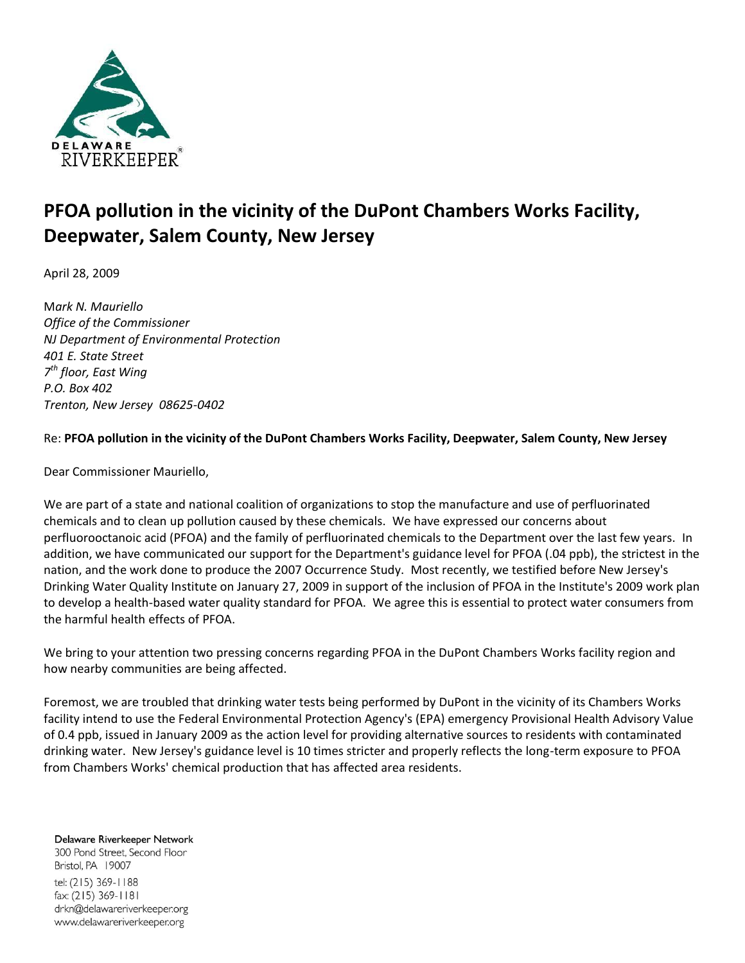

## **PFOA pollution in the vicinity of the DuPont Chambers Works Facility, Deepwater, Salem County, New Jersey**

April 28, 2009

M*ark N. Mauriello Office of the Commissioner NJ Department of Environmental Protection 401 E. State Street 7 th floor, East Wing P.O. Box 402 Trenton, New Jersey 08625-0402*

## Re: **PFOA pollution in the vicinity of the DuPont Chambers Works Facility, Deepwater, Salem County, New Jersey**

Dear Commissioner Mauriello,

We are part of a state and national coalition of organizations to stop the manufacture and use of perfluorinated chemicals and to clean up pollution caused by these chemicals. We have expressed our concerns about perfluorooctanoic acid (PFOA) and the family of perfluorinated chemicals to the Department over the last few years. In addition, we have communicated our support for the Department's guidance level for PFOA (.04 ppb), the strictest in the nation, and the work done to produce the 2007 Occurrence Study. Most recently, we testified before New Jersey's Drinking Water Quality Institute on January 27, 2009 in support of the inclusion of PFOA in the Institute's 2009 work plan to develop a health-based water quality standard for PFOA. We agree this is essential to protect water consumers from the harmful health effects of PFOA.

We bring to your attention two pressing concerns regarding PFOA in the DuPont Chambers Works facility region and how nearby communities are being affected.

Foremost, we are troubled that drinking water tests being performed by DuPont in the vicinity of its Chambers Works facility intend to use the Federal Environmental Protection Agency's (EPA) emergency Provisional Health Advisory Value of 0.4 ppb, issued in January 2009 as the action level for providing alternative sources to residents with contaminated drinking water. New Jersey's guidance level is 10 times stricter and properly reflects the long-term exposure to PFOA from Chambers Works' chemical production that has affected area residents.

Delaware Riverkeeper Network 300 Pond Street, Second Floor Bristol, PA 19007 tel: (215) 369-1188 fax: (215) 369-1181 drkn@delawareriverkeeper.org www.delawareriverkeeper.org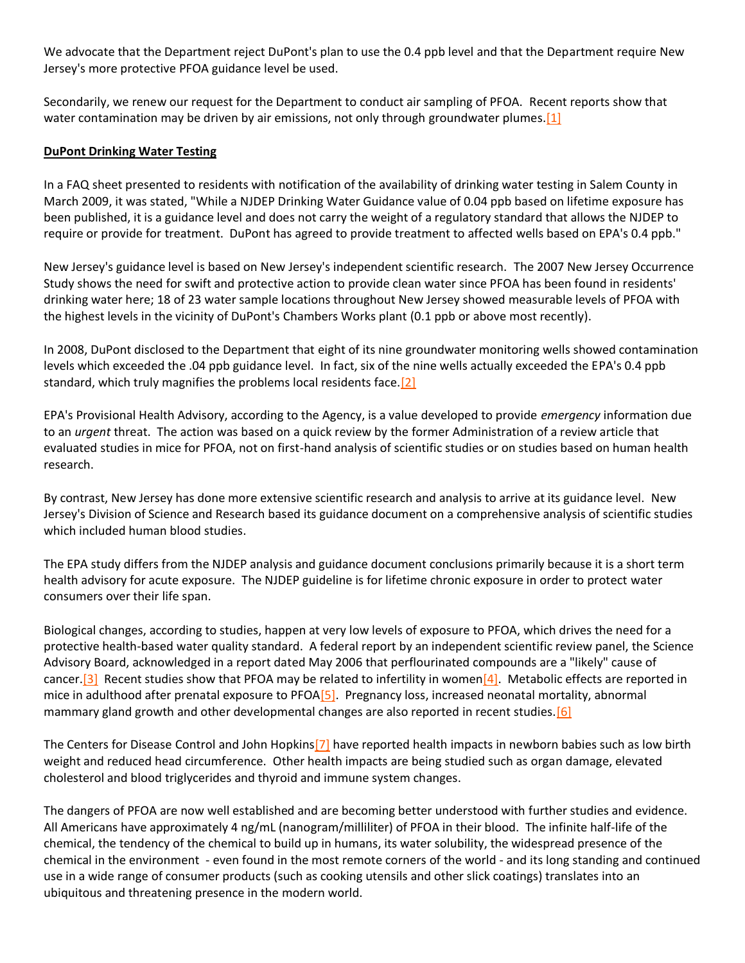We advocate that the Department reject DuPont's plan to use the 0.4 ppb level and that the Department require New Jersey's more protective PFOA guidance level be used.

Secondarily, we renew our request for the Department to conduct air sampling of PFOA. Recent reports show that water contamination may be driven by air emissions, not only through groundwater plumes. [1]

## **DuPont Drinking Water Testing**

In a FAQ sheet presented to residents with notification of the availability of drinking water testing in Salem County in March 2009, it was stated, "While a NJDEP Drinking Water Guidance value of 0.04 ppb based on lifetime exposure has been published, it is a guidance level and does not carry the weight of a regulatory standard that allows the NJDEP to require or provide for treatment. DuPont has agreed to provide treatment to affected wells based on EPA's 0.4 ppb."

New Jersey's guidance level is based on New Jersey's independent scientific research. The 2007 New Jersey Occurrence Study shows the need for swift and protective action to provide clean water since PFOA has been found in residents' drinking water here; 18 of 23 water sample locations throughout New Jersey showed measurable levels of PFOA with the highest levels in the vicinity of DuPont's Chambers Works plant (0.1 ppb or above most recently).

In 2008, DuPont disclosed to the Department that eight of its nine groundwater monitoring wells showed contamination levels which exceeded the .04 ppb guidance level. In fact, six of the nine wells actually exceeded the EPA's 0.4 ppb standard, which truly magnifies the problems local residents face[.\[2\]](http://delawareriverkeeper.org/#_ftn2)

EPA's Provisional Health Advisory, according to the Agency, is a value developed to provide *emergency* information due to an *urgent* threat. The action was based on a quick review by the former Administration of a review article that evaluated studies in mice for PFOA, not on first-hand analysis of scientific studies or on studies based on human health research.

By contrast, New Jersey has done more extensive scientific research and analysis to arrive at its guidance level. New Jersey's Division of Science and Research based its guidance document on a comprehensive analysis of scientific studies which included human blood studies.

The EPA study differs from the NJDEP analysis and guidance document conclusions primarily because it is a short term health advisory for acute exposure. The NJDEP guideline is for lifetime chronic exposure in order to protect water consumers over their life span.

Biological changes, according to studies, happen at very low levels of exposure to PFOA, which drives the need for a protective health-based water quality standard. A federal report by an independent scientific review panel, the Science Advisory Board, acknowledged in a report dated May 2006 that perflourinated compounds are a "likely" cause of cancer.<sup>[3]</sup> Recent studies show that PFOA may be related to infertility in women<sup>[4]</sup>. Metabolic effects are reported in mice in adulthood after prenatal exposure to PFO[A\[5\].](http://delawareriverkeeper.org/#_ftn5) Pregnancy loss, increased neonatal mortality, abnormal mammary gland growth and other developmental changes are also reported in recent studies.  $[6]$ 

The Centers for Disease Control and John Hopkin[s\[7\]](http://delawareriverkeeper.org/#_ftn7) have reported health impacts in newborn babies such as low birth weight and reduced head circumference. Other health impacts are being studied such as organ damage, elevated cholesterol and blood triglycerides and thyroid and immune system changes.

The dangers of PFOA are now well established and are becoming better understood with further studies and evidence. All Americans have approximately 4 ng/mL (nanogram/milliliter) of PFOA in their blood. The infinite half-life of the chemical, the tendency of the chemical to build up in humans, its water solubility, the widespread presence of the chemical in the environment - even found in the most remote corners of the world - and its long standing and continued use in a wide range of consumer products (such as cooking utensils and other slick coatings) translates into an ubiquitous and threatening presence in the modern world.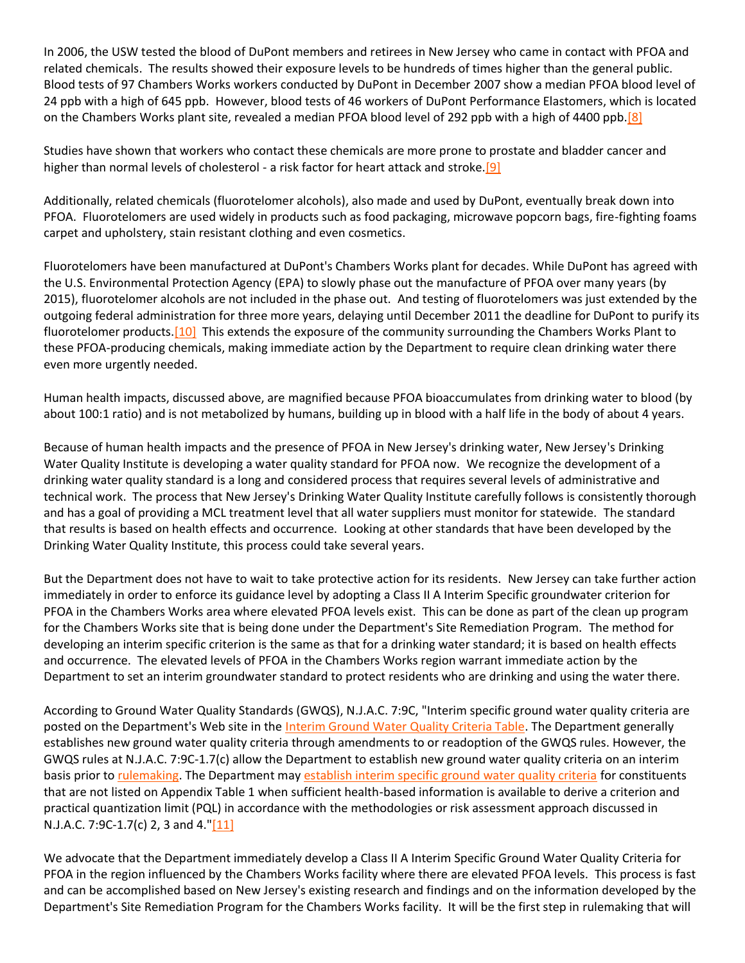In 2006, the USW tested the blood of DuPont members and retirees in New Jersey who came in contact with PFOA and related chemicals. The results showed their exposure levels to be hundreds of times higher than the general public. Blood tests of 97 Chambers Works workers conducted by DuPont in December 2007 show a median PFOA blood level of 24 ppb with a high of 645 ppb. However, blood tests of 46 workers of DuPont Performance Elastomers, which is located on the Chambers Works plant site, revealed a median PFOA blood level of 292 ppb with a high of 4400 pp[b.\[8\]](http://delawareriverkeeper.org/#_ftn8)

Studies have shown that workers who contact these chemicals are more prone to prostate and bladder cancer and higher than normal levels of cholesterol - a risk factor for heart attack and stroke.<sup>[9]</sup>

Additionally, related chemicals (fluorotelomer alcohols), also made and used by DuPont, eventually break down into PFOA. Fluorotelomers are used widely in products such as food packaging, microwave popcorn bags, fire-fighting foams carpet and upholstery, stain resistant clothing and even cosmetics.

Fluorotelomers have been manufactured at DuPont's Chambers Works plant for decades. While DuPont has agreed with the U.S. Environmental Protection Agency (EPA) to slowly phase out the manufacture of PFOA over many years (by 2015), fluorotelomer alcohols are not included in the phase out. And testing of fluorotelomers was just extended by the outgoing federal administration for three more years, delaying until December 2011 the deadline for DuPont to purify its fluorotelomer products[.\[10\]](http://delawareriverkeeper.org/#_ftn10) This extends the exposure of the community surrounding the Chambers Works Plant to these PFOA-producing chemicals, making immediate action by the Department to require clean drinking water there even more urgently needed.

Human health impacts, discussed above, are magnified because PFOA bioaccumulates from drinking water to blood (by about 100:1 ratio) and is not metabolized by humans, building up in blood with a half life in the body of about 4 years.

Because of human health impacts and the presence of PFOA in New Jersey's drinking water, New Jersey's Drinking Water Quality Institute is developing a water quality standard for PFOA now. We recognize the development of a drinking water quality standard is a long and considered process that requires several levels of administrative and technical work. The process that New Jersey's Drinking Water Quality Institute carefully follows is consistently thorough and has a goal of providing a MCL treatment level that all water suppliers must monitor for statewide. The standard that results is based on health effects and occurrence. Looking at other standards that have been developed by the Drinking Water Quality Institute, this process could take several years.

But the Department does not have to wait to take protective action for its residents. New Jersey can take further action immediately in order to enforce its guidance level by adopting a Class II A Interim Specific groundwater criterion for PFOA in the Chambers Works area where elevated PFOA levels exist. This can be done as part of the clean up program for the Chambers Works site that is being done under the Department's Site Remediation Program. The method for developing an interim specific criterion is the same as that for a drinking water standard; it is based on health effects and occurrence. The elevated levels of PFOA in the Chambers Works region warrant immediate action by the Department to set an interim groundwater standard to protect residents who are drinking and using the water there.

According to Ground Water Quality Standards (GWQS), N.J.A.C. 7:9C, "Interim specific ground water quality criteria are posted on the Department's Web site in the [Interim Ground Water Quality Criteria Table.](http://www.state.nj.us/dep/wms/bwqsa/gwqs_interim_criteria_table.htm) The Department generally establishes new ground water quality criteria through amendments to or readoption of the GWQS rules. However, the GWQS rules at N.J.A.C. 7:9C-1.7(c) allow the Department to establish new ground water quality criteria on an interim basis prior to [rulemaking.](http://www.state.nj.us/dep/wms/bwqsa/gwqs_rulemaking.htm) The Department may [establish interim specific ground water quality criteria](http://www.state.nj.us/dep/wms/bwqsa/gwqs.htm#1%231) for constituents that are not listed on Appendix Table 1 when sufficient health-based information is available to derive a criterion and practical quantization limit (PQL) in accordance with the methodologies or risk assessment approach discussed in N.J.A.C. 7:9C-1.7(c) 2, 3 and 4.["\[11\]](http://delawareriverkeeper.org/#_ftn11)

We advocate that the Department immediately develop a Class II A Interim Specific Ground Water Quality Criteria for PFOA in the region influenced by the Chambers Works facility where there are elevated PFOA levels. This process is fast and can be accomplished based on New Jersey's existing research and findings and on the information developed by the Department's Site Remediation Program for the Chambers Works facility. It will be the first step in rulemaking that will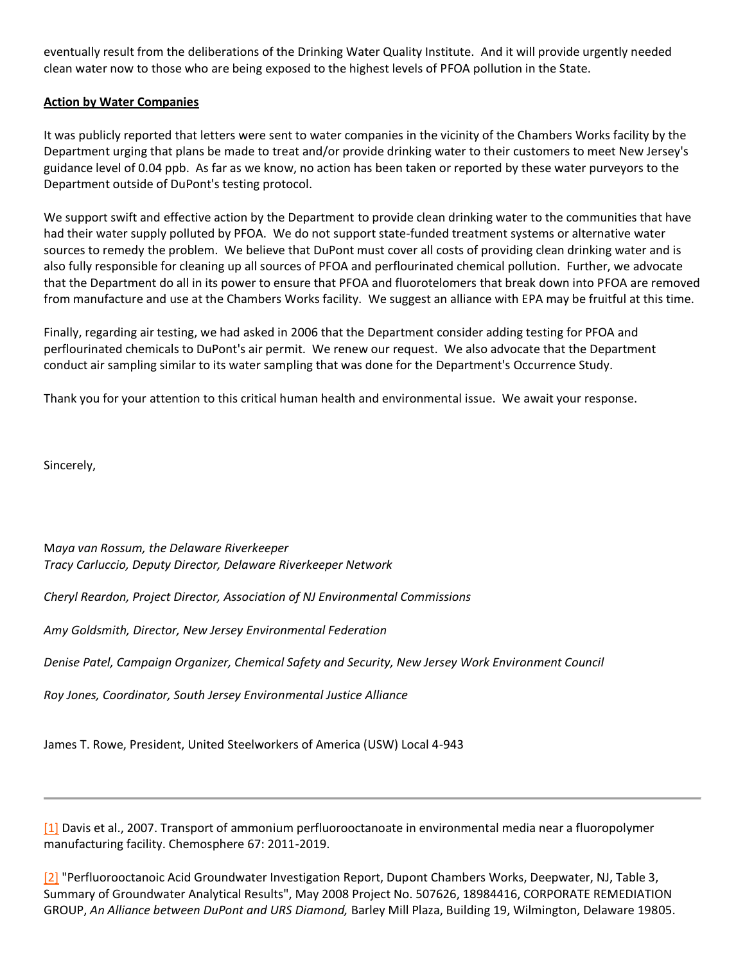eventually result from the deliberations of the Drinking Water Quality Institute. And it will provide urgently needed clean water now to those who are being exposed to the highest levels of PFOA pollution in the State.

## **Action by Water Companies**

It was publicly reported that letters were sent to water companies in the vicinity of the Chambers Works facility by the Department urging that plans be made to treat and/or provide drinking water to their customers to meet New Jersey's guidance level of 0.04 ppb. As far as we know, no action has been taken or reported by these water purveyors to the Department outside of DuPont's testing protocol.

We support swift and effective action by the Department to provide clean drinking water to the communities that have had their water supply polluted by PFOA. We do not support state-funded treatment systems or alternative water sources to remedy the problem. We believe that DuPont must cover all costs of providing clean drinking water and is also fully responsible for cleaning up all sources of PFOA and perflourinated chemical pollution. Further, we advocate that the Department do all in its power to ensure that PFOA and fluorotelomers that break down into PFOA are removed from manufacture and use at the Chambers Works facility. We suggest an alliance with EPA may be fruitful at this time.

Finally, regarding air testing, we had asked in 2006 that the Department consider adding testing for PFOA and perflourinated chemicals to DuPont's air permit. We renew our request. We also advocate that the Department conduct air sampling similar to its water sampling that was done for the Department's Occurrence Study.

Thank you for your attention to this critical human health and environmental issue. We await your response.

Sincerely,

M*aya van Rossum, the Delaware Riverkeeper Tracy Carluccio, Deputy Director, Delaware Riverkeeper Network*

*Cheryl Reardon, Project Director, Association of NJ Environmental Commissions*

*Amy Goldsmith, Director, New Jersey Environmental Federation*

*Denise Patel, Campaign Organizer, Chemical Safety and Security, New Jersey Work Environment Council*

*Roy Jones, Coordinator, South Jersey Environmental Justice Alliance*

James T. Rowe, President, United Steelworkers of America (USW) Local 4-943

[\[1\]](http://delawareriverkeeper.org/#_ftnref) Davis et al., 2007. Transport of ammonium perfluorooctanoate in environmental media near a fluoropolymer manufacturing facility. Chemosphere 67: 2011-2019.

[\[2\]](http://delawareriverkeeper.org/#_ftnref) "Perfluorooctanoic Acid Groundwater Investigation Report, Dupont Chambers Works, Deepwater, NJ, Table 3, Summary of Groundwater Analytical Results", May 2008 Project No. 507626, 18984416, CORPORATE REMEDIATION GROUP, *An Alliance between DuPont and URS Diamond,* Barley Mill Plaza, Building 19, Wilmington, Delaware 19805.